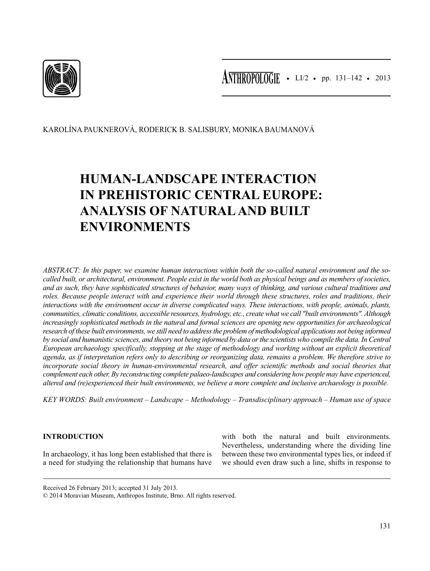

**ANTHROPOLOGIE •** LI/2 • pp. 131–142 • 2013

KAROLÍNA PAUKNEROVÁ, RODERICK B. SALISBURY, MONIKA BAUMANOVÁ

# **HUMAN-LANDSCAPE INTERACTION IN PREHISTORIC CENTRAL EUROPE: ANALYSIS OF NATURAL AND BUILT ENVIRONMENTS**

*ABSTRACT: In this paper, we examine human interactions within both the so-called natural environment and the socalled built, or architectural, environment. People exist in the world both as physical beings and as members of societies, and as such, they have sophisticated structures of behavior, many ways of thinking, and various cultural traditions and roles. Because people interact with and experience their world through these structures, roles and traditions, their interactions with the environment occur in diverse complicated ways. These interactions, with people, animals, plants, communities, climatic conditions, accessible resources, hydrology, etc., create what we call "built environments". Although increasingly sophisticated methods in the natural and formal sciences are opening new opportunities for archaeological research of these built environments, we still need to address the problem of methodological applications not being informed by social and humanistic sciences, and theory not being informed by data or the scientists who compile the data. In Central European archaeology specifically, stopping at the stage of methodology and working without an explicit theoretical agenda, as if interpretation refers only to describing or reorganizing data, remains a problem. We therefore strive to incorporate social theory in human-environmental research, and offer scientific methods and social theories that complement each other. By reconstructing complete palaeo-landscapes and considering how people may have experienced, altered and (re)experienced their built environments, we believe a more complete and inclusive archaeology is possible.*

*KEY WORDS: Built environment – Landscape – Methodology – Transdisciplinary approach – Human use of space*

# **INTRODUCTION**

In archaeology, it has long been established that there is a need for studying the relationship that humans have

with both the natural and built environments. Nevertheless, understanding where the dividing line between these two environmental types lies, or indeed if we should even draw such a line, shifts in response to

Received 26 February 2013; accepted 31 July 2013.

<sup>© 2014</sup> Moravian Museum, Anthropos Institute, Brno. All rights reserved.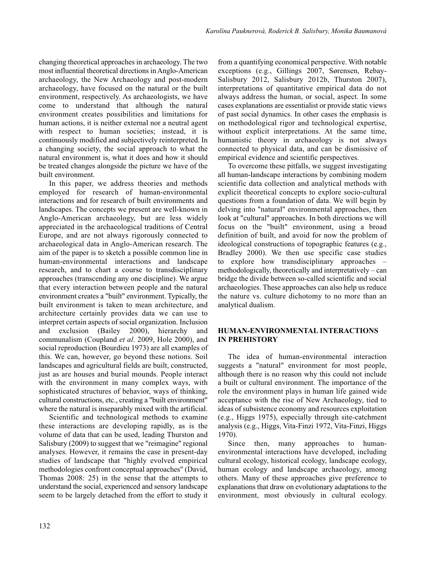changing theoretical approaches in archaeology. The two most influential theoretical directions in Anglo-American archaeology, the New Archaeology and post-modern archaeology, have focused on the natural or the built environment, respectively. As archaeologists, we have come to understand that although the natural environment creates possibilities and limitations for human actions, it is neither external nor a neutral agent with respect to human societies; instead, it is continuously modified and subjectively reinterpreted. In a changing society, the social approach to what the natural environment is, what it does and how it should be treated changes alongside the picture we have of the built environment.

In this paper, we address theories and methods employed for research of human-environmental interactions and for research of built environments and landscapes. The concepts we present are well-known in Anglo-American archaeology, but are less widely appreciated in the archaeological traditions of Central Europe, and are not always rigorously connected to archaeological data in Anglo-American research. The aim of the paper is to sketch a possible common line in human-environmental interactions and landscape research, and to chart a course to transdisciplinary approaches (transcending any one discipline). We argue that every interaction between people and the natural environment creates a "built" environment. Typically, the built environment is taken to mean architecture, and architecture certainly provides data we can use to interpret certain aspects of social organization. Inclusion and exclusion (Bailey 2000), hierarchy and communalism (Coupland *et al*. 2009, Hole 2000), and social reproduction (Bourdieu 1973) are all examples of this. We can, however, go beyond these notions. Soil landscapes and agricultural fields are built, constructed, just as are houses and burial mounds. People interact with the environment in many complex ways, with sophisticated structures of behavior, ways of thinking, cultural constructions, etc., creating a "built environment" where the natural is inseparably mixed with the artificial.

Scientific and technological methods to examine these interactions are developing rapidly, as is the volume of data that can be used, leading Thurston and Salisbury (2009) to suggest that we "reimagine" regional analyses. However, it remains the case in present-day studies of landscape that "highly evolved empirical methodologies confront conceptual approaches" (David, Thomas 2008: 25) in the sense that the attempts to understand the social, experienced and sensory landscape seem to be largely detached from the effort to study it from a quantifying economical perspective. With notable exceptions (e.g., Gillings 2007, Sørensen, Rebay-Salisbury 2012, Salisbury 2012b, Thurston 2007), interpretations of quantitative empirical data do not always address the human, or social, aspect. In some cases explanations are essentialist or provide static views of past social dynamics. In other cases the emphasis is on methodological rigor and technological expertise, without explicit interpretations. At the same time, humanistic theory in archaeology is not always connected to physical data, and can be dismissive of empirical evidence and scientific perspectives.

To overcome these pitfalls, we suggest investigating all human-landscape interactions by combining modern scientific data collection and analytical methods with explicit theoretical concepts to explore socio-cultural questions from a foundation of data. We will begin by delving into "natural" environmental approaches, then look at "cultural" approaches. In both directions we will focus on the "built" environment, using a broad definition of built, and avoid for now the problem of ideological constructions of topographic features (e.g., Bradley 2000). We then use specific case studies to explore how transdisciplinary approaches – methodologically, theoretically and interpretatively – can bridge the divide between so-called scientific and social archaeologies. These approaches can also help us reduce the nature vs. culture dichotomy to no more than an analytical dualism.

## **HUMAN-ENVIRONMENTAL INTERACTIONS IN PREHISTORY**

The idea of human-environmental interaction suggests a "natural" environment for most people, although there is no reason why this could not include a built or cultural environment. The importance of the role the environment plays in human life gained wide acceptance with the rise of New Archaeology, tied to ideas of subsistence economy and resources exploitation (e.g., Higgs 1975), especially through site-catchment analysis (e.g., Higgs, Vita-Finzi 1972, Vita-Finzi, Higgs 1970).

Since then, many approaches to humanenvironmental interactions have developed, including cultural ecology, historical ecology, landscape ecology, human ecology and landscape archaeology, among others. Many of these approaches give preference to explanations that draw on evolutionary adaptations to the environment, most obviously in cultural ecology.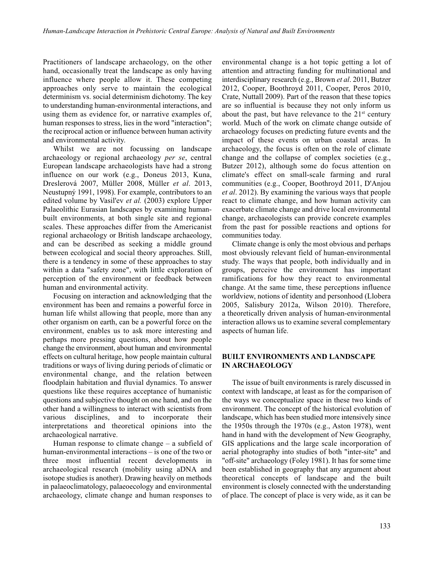Practitioners of landscape archaeology, on the other hand, occasionally treat the landscape as only having influence where people allow it. These competing approaches only serve to maintain the ecological determinism vs. social determinism dichotomy. The key to understanding human-environmental interactions, and using them as evidence for, or narrative examples of, human responses to stress, lies in the word "interaction"; the reciprocal action or influence between human activity and environmental activity.

Whilst we are not focussing on landscape archaeology or regional archaeology *per se*, central European landscape archaeologists have had a strong influence on our work (e.g., Doneus 2013, Kuna, Dreslerová 2007, Müller 2008, Müller *et al*. 2013, Neustupný 1991, 1998). For example, contributors to an edited volume by Vasil'ev *et al.* (2003) explore Upper Palaeolithic Eurasian landscapes by examining humanbuilt environments, at both single site and regional scales. These approaches differ from the Americanist regional archaeology or British landscape archaeology, and can be described as seeking a middle ground between ecological and social theory approaches. Still, there is a tendency in some of these approaches to stay within a data "safety zone", with little exploration of perception of the environment or feedback between human and environmental activity.

Focusing on interaction and acknowledging that the environment has been and remains a powerful force in human life whilst allowing that people, more than any other organism on earth, can be a powerful force on the environment, enables us to ask more interesting and perhaps more pressing questions, about how people change the environment, about human and environmental effects on cultural heritage, how people maintain cultural traditions or ways of living during periods of climatic or environmental change, and the relation between floodplain habitation and fluvial dynamics. To answer questions like these requires acceptance of humanistic questions and subjective thought on one hand, and on the other hand a willingness to interact with scientists from various disciplines, and to incorporate their interpretations and theoretical opinions into the archaeological narrative.

Human response to climate change – a subfield of human-environmental interactions – is one of the two or three most influential recent developments in archaeological research (mobility using aDNA and isotope studies is another). Drawing heavily on methods in palaeoclimatology, palaeoecology and environmental archaeology, climate change and human responses to

environmental change is a hot topic getting a lot of attention and attracting funding for multinational and interdisciplinary research (e.g., Brown *et al*. 2011, Butzer 2012, Cooper, Boothroyd 2011, Cooper, Peros 2010, Crate, Nuttall 2009). Part of the reason that these topics are so influential is because they not only inform us about the past, but have relevance to the  $21<sup>st</sup>$  century world. Much of the work on climate change outside of archaeology focuses on predicting future events and the impact of these events on urban coastal areas. In archaeology, the focus is often on the role of climate change and the collapse of complex societies (e.g., Butzer 2012), although some do focus attention on climate's effect on small-scale farming and rural communities (e.g., Cooper, Boothroyd 2011, D'Anjou *et al*. 2012). By examining the various ways that people react to climate change, and how human activity can exacerbate climate change and drive local environmental change, archaeologists can provide concrete examples from the past for possible reactions and options for communities today.

Climate change is only the most obvious and perhaps most obviously relevant field of human-environmental study. The ways that people, both individually and in groups, perceive the environment has important ramifications for how they react to environmental change. At the same time, these perceptions influence worldview, notions of identity and personhood (Llobera 2005, Salisbury 2012a, Wilson 2010). Therefore, a theoretically driven analysis of human-environmental interaction allows us to examine several complementary aspects of human life.

### **BUILT ENVIRONMENTS AND LANDSCAPE IN ARCHAEOLOGY**

The issue of built environments is rarely discussed in context with landscape, at least as for the comparison of the ways we conceptualize space in these two kinds of environment. The concept of the historical evolution of landscape, which has been studied more intensively since the 1950s through the 1970s (e.g., Aston 1978), went hand in hand with the development of New Geography, GIS applications and the large scale incorporation of aerial photography into studies of both "inter-site" and "off-site" archaeology (Foley 1981). It has for some time been established in geography that any argument about theoretical concepts of landscape and the built environment is closely connected with the understanding of place. The concept of place is very wide, as it can be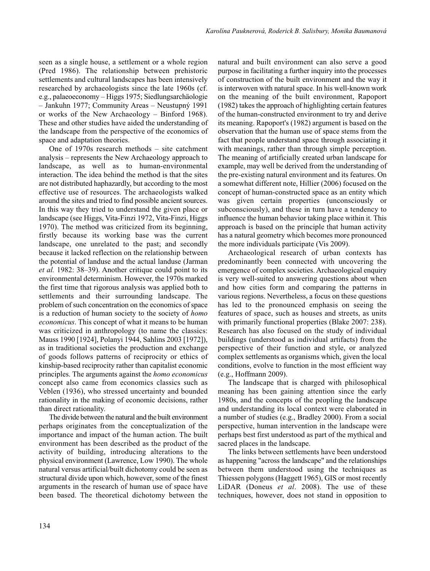seen as a single house, a settlement or a whole region (Pred 1986). The relationship between prehistoric settlements and cultural landscapes has been intensively researched by archaeologists since the late 1960s (cf. e.g., palaeoeconomy – Higgs 1975; Siedlungsarchäologie – Jankuhn 1977; Community Areas – Neustupný 1991 or works of the New Archaeology – Binford 1968). These and other studies have aided the understanding of the landscape from the perspective of the economics of space and adaptation theories.

One of 1970s research methods – site catchment analysis – represents the New Archaeology approach to landscape, as well as to human-environmental interaction. The idea behind the method is that the sites are not distributed haphazardly, but according to the most effective use of resources. The archaeologists walked around the sites and tried to find possible ancient sources. In this way they tried to understand the given place or landscape (see Higgs, Vita-Finzi 1972, Vita-Finzi, Higgs 1970). The method was criticized from its beginning, firstly because its working base was the current landscape, one unrelated to the past; and secondly because it lacked reflection on the relationship between the potential of landuse and the actual landuse (Jarman *et al.* 1982: 38–39). Another critique could point to its environmental determinism. However, the 1970s marked the first time that rigorous analysis was applied both to settlements and their surrounding landscape. The problem of such concentration on the economics of space is a reduction of human society to the society of *homo economicus*. This concept of what it means to be human was criticized in anthropology (to name the classics: Mauss 1990 [1924], Polanyi 1944, Sahlins 2003 [1972]), as in traditional societies the production and exchange of goods follows patterns of reciprocity or ethics of kinship-based reciprocity rather than capitalist economic principles. The arguments against the *homo economicus* concept also came from economics classics such as Veblen (1936), who stressed uncertainty and bounded rationality in the making of economic decisions, rather than direct rationality.

The divide between the natural and the built environment perhaps originates from the conceptualization of the importance and impact of the human action. The built environment has been described as the product of the activity of building, introducing alterations to the physical environment (Lawrence, Low 1990). The whole natural versus artificial/built dichotomy could be seen as structural divide upon which, however, some of the finest arguments in the research of human use of space have been based. The theoretical dichotomy between the natural and built environment can also serve a good purpose in facilitating a further inquiry into the processes of construction of the built environment and the way it is interwoven with natural space. In his well-known work on the meaning of the built environment, Rapoport (1982) takes the approach of highlighting certain features of the human-constructed environment to try and derive its meaning. Rapoport's (1982) argument is based on the observation that the human use of space stems from the fact that people understand space through associating it with meanings, rather than through simple perception. The meaning of artificially created urban landscape for example, may well be derived from the understanding of the pre-existing natural environment and its features. On a somewhat different note, Hillier (2006) focused on the concept of human-constructed space as an entity which was given certain properties (unconsciously or subconsciously), and these in turn have a tendency to influence the human behavior taking place within it. This approach is based on the principle that human activity has a natural geometry which becomes more pronounced the more individuals participate (Vis 2009).

Archaeological research of urban contexts has predominantly been connected with uncovering the emergence of complex societies. Archaeological enquiry is very well-suited to answering questions about when and how cities form and comparing the patterns in various regions. Nevertheless, a focus on these questions has led to the pronounced emphasis on seeing the features of space, such as houses and streets, as units with primarily functional properties (Blake 2007: 238). Research has also focused on the study of individual buildings (understood as individual artifacts) from the perspective of their function and style, or analyzed complex settlements as organisms which, given the local conditions, evolve to function in the most efficient way (e.g., Hoffmann 2009).

The landscape that is charged with philosophical meaning has been gaining attention since the early 1980s, and the concepts of the peopling the landscape and understanding its local context were elaborated in a number of studies (e.g., Bradley 2000). From a social perspective, human intervention in the landscape were perhaps best first understood as part of the mythical and sacred places in the landscape.

The links between settlements have been understood as happening "across the landscape" and the relationships between them understood using the techniques as Thiessen polygons (Haggett 1965), GIS or most recently LiDAR (Doneus *et al*. 2008). The use of these techniques, however, does not stand in opposition to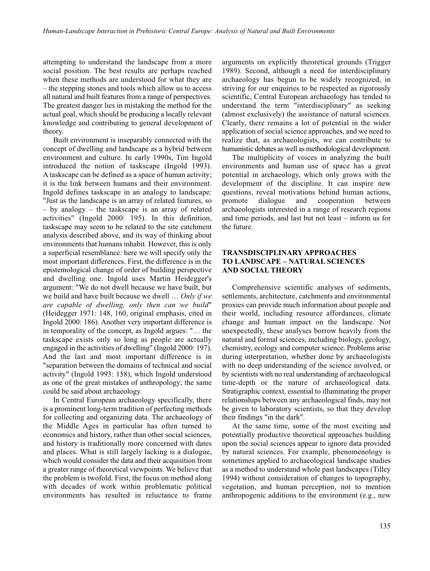attempting to understand the landscape from a more social position. The best results are perhaps reached when these methods are understood for what they are – the stepping stones and tools which allow us to access all natural and built features from a range of perspectives. The greatest danger lies in mistaking the method for the actual goal, which should be producing a locally relevant knowledge and contributing to general development of theory.

Built environment is inseparably connected with the concept of dwelling and landscape as a hybrid between environment and culture. In early 1990s, Tim Ingold introduced the notion of taskscape (Ingold 1993). A taskscape can be defined as a space of human activity; it is the link between humans and their environment. Ingold defines taskscape in an analogy to landscape: "Just as the landscape is an array of related features, so – by analogy – the taskscape is an array of related activities" (Ingold 2000: 195). In this definition, taskscape may seem to be related to the site catchment analysis described above, and its way of thinking about environments that humans inhabit. However, this is only a superficial resemblance: here we will specify only the most important differences. First, the difference is in the epistemological change of order of building perspective and dwelling one. Ingold uses Martin Heidegger's argument: "We do not dwell because we have built, but we build and have built because we dwell … *Only if we are capable of dwelling, only then can we build*" (Heidegger 1971: 148, 160, original emphasis, cited in Ingold 2000: 186). Another very important difference is in temporality of the concept, as Ingold argues: "… the taskscape exists only so long as people are actually engaged in the activities of dwelling" (Ingold 2000: 197). And the last and most important difference is in "separation between the domains of technical and social activity" (Ingold 1993: 158), which Ingold understood as one of the great mistakes of anthropology; the same could be said about archaeology.

In Central European archaeology specifically, there is a prominent long-term tradition of perfecting methods for collecting and organizing data. The archaeology of the Middle Ages in particular has often turned to economics and history, rather than other social sciences, and history is traditionally more concerned with dates and places. What is still largely lacking is a dialogue, which would consider the data and their acquisition from a greater range of theoretical viewpoints. We believe that the problem is twofold. First, the focus on method along with decades of work within problematic political environments has resulted in reluctance to frame

arguments on explicitly theoretical grounds (Trigger 1989). Second, although a need for interdisciplinary archaeology has begun to be widely recognized, in striving for our enquiries to be respected as rigorously scientific, Central European archaeology has tended to understand the term "interdisciplinary" as seeking (almost exclusively) the assistance of natural sciences. Clearly, there remains a lot of potential in the wider application of social science approaches, and we need to realize that, as archaeologists, we can contribute to humanistic debates as well as methodological development.

The multiplicity of voices in analyzing the built environments and human use of space has a great potential in archaeology, which only grows with the development of the discipline. It can inspire new questions, reveal motivations behind human actions, promote dialogue and cooperation between archaeologists interested in a range of research regions and time periods, and last but not least – inform us for the future.

## **TRANSDISCIPLINARY APPROACHES TO LANDSCAPE – NATURAL SCIENCES AND SOCIAL THEORY**

Comprehensive scientific analyses of sediments, settlements, architecture, catchments and environmental proxies can provide much information about people and their world, including resource affordances, climate change and human impact on the landscape. Not unexpectedly, these analyses borrow heavily from the natural and formal sciences, including biology, geology, chemistry, ecology and computer science. Problems arise during interpretation, whether done by archaeologists with no deep understanding of the science involved, or by scientists with no real understanding of archaeological time-depth or the nature of archaeological data. Stratigraphic context, essential to illuminating the proper relationships between any archaeological finds, may not be given to laboratory scientists, so that they develop their findings "in the dark".

At the same time, some of the most exciting and potentially productive theoretical approaches building upon the social sciences appear to ignore data provided by natural sciences. For example, phenomenology is sometimes applied to archaeological landscape studies as a method to understand whole past landscapes (Tilley 1994) without consideration of changes to topography, vegetation, and human perception, not to mention anthropogenic additions to the environment (e.g., new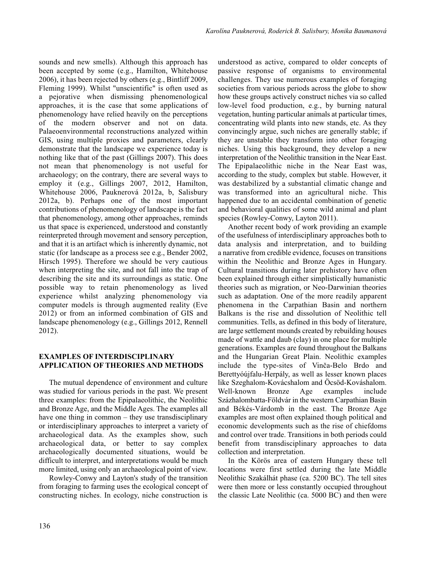sounds and new smells). Although this approach has been accepted by some (e.g., Hamilton, Whitehouse 2006), it has been rejected by others (e.g., Bintliff 2009, Fleming 1999). Whilst "unscientific" is often used as a pejorative when dismissing phenomenological approaches, it is the case that some applications of phenomenology have relied heavily on the perceptions of the modern observer and not on data. Palaeoenvironmental reconstructions analyzed within GIS, using multiple proxies and parameters, clearly demonstrate that the landscape we experience today is nothing like that of the past (Gillings 2007). This does not mean that phenomenology is not useful for archaeology; on the contrary, there are several ways to employ it (e.g., Gillings 2007, 2012, Hamilton, Whitehouse 2006, Pauknerová 2012a, b, Salisbury 2012a, b). Perhaps one of the most important contributions of phenomenology of landscape is the fact that phenomenology, among other approaches, reminds us that space is experienced, understood and constantly reinterpreted through movement and sensory perception, and that it is an artifact which is inherently dynamic, not static (for landscape as a process see e.g., Bender 2002, Hirsch 1995). Therefore we should be very cautious when interpreting the site, and not fall into the trap of describing the site and its surroundings as static. One possible way to retain phenomenology as lived experience whilst analyzing phenomenology via computer models is through augmented reality (Eve 2012) or from an informed combination of GIS and landscape phenomenology (e.g., Gillings 2012, Rennell 2012).

## **EXAMPLES OF INTERDISCIPLINARY APPLICATION OF THEORIES AND METHODS**

The mutual dependence of environment and culture was studied for various periods in the past. We present three examples: from the Epipalaeolithic, the Neolithic and Bronze Age, and the Middle Ages. The examples all have one thing in common – they use transdisciplinary or interdisciplinary approaches to interpret a variety of archaeological data. As the examples show, such archaeological data, or better to say complex archaeologically documented situations, would be difficult to interpret, and interpretations would be much more limited, using only an archaeological point of view.

Rowley-Conwy and Layton's study of the transition from foraging to farming uses the ecological concept of constructing niches. In ecology, niche construction is

understood as active, compared to older concepts of passive response of organisms to environmental challenges. They use numerous examples of foraging societies from various periods across the globe to show how these groups actively construct niches via so called low-level food production, e.g., by burning natural vegetation, hunting particular animals at particular times, concentrating wild plants into new stands, etc. As they convincingly argue, such niches are generally stable; if they are unstable they transform into other foraging niches. Using this background, they develop a new interpretation of the Neolithic transition in the Near East. The Epipalaeolithic niche in the Near East was, according to the study, complex but stable. However, it was destabilized by a substantial climatic change and was transformed into an agricultural niche. This happened due to an accidental combination of genetic and behavioral qualities of some wild animal and plant species (Rowley-Conwy, Layton 2011).

Another recent body of work providing an example of the usefulness of interdisciplinary approaches both to data analysis and interpretation, and to building a narrative from credible evidence, focuses on transitions within the Neolithic and Bronze Ages in Hungary. Cultural transitions during later prehistory have often been explained through either simplistically humanistic theories such as migration, or Neo-Darwinian theories such as adaptation. One of the more readily apparent phenomena in the Carpathian Basin and northern Balkans is the rise and dissolution of Neolithic tell communities. Tells, as defined in this body of literature, are large settlement mounds created by rebuilding houses made of wattle and daub (clay) in one place for multiple generations. Examples are found throughout the Balkans and the Hungarian Great Plain. Neolithic examples include the type-sites of Vinča-Belo Brdo and Berettyóújfalu-Herpály, as well as lesser known places like Szeghalom-Kovácshalom and Öcsöd-Kováshalom. Well-known Bronze Age examples include Százhalombatta-Földvár in the western Carpathian Basin and Békés-Várdomb in the east. The Bronze Age examples are most often explained though political and economic developments such as the rise of chiefdoms and control over trade. Transitions in both periods could benefit from transdisciplinary approaches to data collection and interpretation.

In the Körös area of eastern Hungary these tell locations were first settled during the late Middle Neolithic Szakálhát phase (ca. 5200 BC). The tell sites were then more or less constantly occupied throughout the classic Late Neolithic (ca. 5000 BC) and then were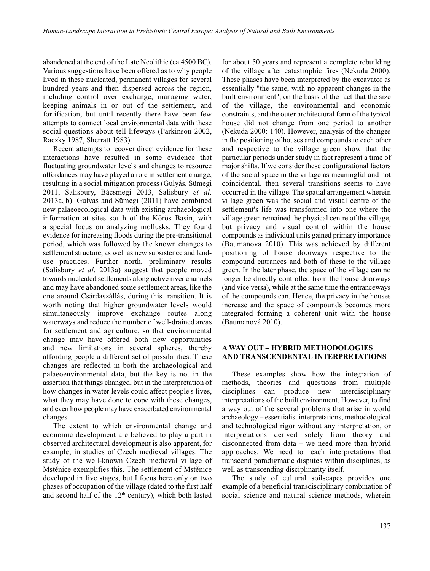abandoned at the end of the Late Neolithic (ca 4500 BC). Various suggestions have been offered as to why people lived in these nucleated, permanent villages for several hundred years and then dispersed across the region, including control over exchange, managing water, keeping animals in or out of the settlement, and fortification, but until recently there have been few attempts to connect local environmental data with these social questions about tell lifeways (Parkinson 2002, Raczky 1987, Sherratt 1983).

Recent attempts to recover direct evidence for these interactions have resulted in some evidence that fluctuating groundwater levels and changes to resource affordances may have played a role in settlement change, resulting in a social mitigation process (Gulyás, Sümegi 2011, Salisbury, Bácsmegi 2013, Salisbury *et al*. 2013a, b). Gulyás and Sümegi (2011) have combined new palaeoecological data with existing archaeological information at sites south of the Körös Basin, with a special focus on analyzing mollusks. They found evidence for increasing floods during the pre-transitional period, which was followed by the known changes to settlement structure, as well as new subsistence and landuse practices. Further north, preliminary results (Salisbury *et al*. 2013a) suggest that people moved towards nucleated settlements along active river channels and may have abandoned some settlement areas, like the one around Csárdaszállás, during this transition. It is worth noting that higher groundwater levels would simultaneously improve exchange routes along waterways and reduce the number of well-drained areas for settlement and agriculture, so that environmental change may have offered both new opportunities and new limitations in several spheres, thereby affording people a different set of possibilities. These changes are reflected in both the archaeological and palaeoenvironmental data, but the key is not in the assertion that things changed, but in the interpretation of how changes in water levels could affect people's lives, what they may have done to cope with these changes, and even how people may have exacerbated environmental changes.

The extent to which environmental change and economic development are believed to play a part in observed architectural development is also apparent, for example, in studies of Czech medieval villages. The study of the well-known Czech medieval village of Mstěnice exemplifies this. The settlement of Mstěnice developed in five stages, but I focus here only on two phases of occupation of the village (dated to the first half and second half of the  $12<sup>th</sup>$  century), which both lasted

for about 50 years and represent a complete rebuilding of the village after catastrophic fires (Nekuda 2000). These phases have been interpreted by the excavator as essentially "the same, with no apparent changes in the built environment", on the basis of the fact that the size of the village, the environmental and economic constraints, and the outer architectural form of the typical house did not change from one period to another (Nekuda 2000: 140). However, analysis of the changes in the positioning of houses and compounds to each other and respective to the village green show that the particular periods under study in fact represent a time of major shifts. If we consider these configurational factors of the social space in the village as meaningful and not coincidental, then several transitions seems to have occurred in the village. The spatial arrangement wherein village green was the social and visual centre of the settlement's life was transformed into one where the village green remained the physical centre of the village, but privacy and visual control within the house compounds as individual units gained primary importance (Baumanová 2010). This was achieved by different positioning of house doorways respective to the compound entrances and both of these to the village green. In the later phase, the space of the village can no longer be directly controlled from the house doorways (and vice versa), while at the same time the entranceways of the compounds can. Hence, the privacy in the houses increase and the space of compounds becomes more integrated forming a coherent unit with the house (Baumanová 2010).

#### **A WAY OUT – HYBRID METHODOLOGIES AND TRANSCENDENTAL INTERPRETATIONS**

These examples show how the integration of methods, theories and questions from multiple disciplines can produce new interdisciplinary interpretations of the built environment. However, to find a way out of the several problems that arise in world archaeology – essentialist interpretations, methodological and technological rigor without any interpretation, or interpretations derived solely from theory and disconnected from data – we need more than hybrid approaches. We need to reach interpretations that transcend paradigmatic disputes within disciplines, as well as transcending disciplinarity itself.

The study of cultural soilscapes provides one example of a beneficial transdisciplinary combination of social science and natural science methods, wherein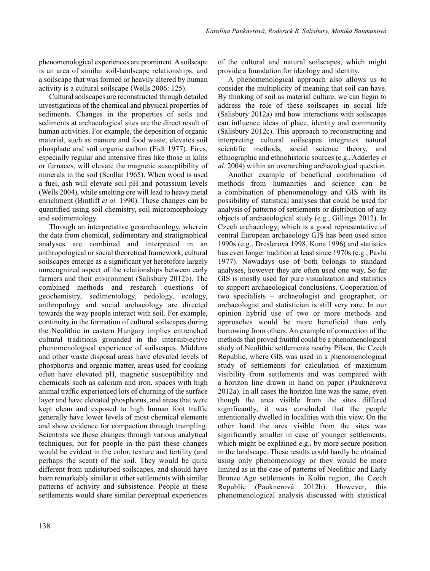phenomenological experiences are prominent. A soilscape is an area of similar soil-landscape relationships, and a soilscape that was formed or heavily altered by human activity is a cultural soilscape (Wells 2006: 125).

Cultural soilscapes are reconstructed through detailed investigations of the chemical and physical properties of sediments. Changes in the properties of soils and sediments at archaeological sites are the direct result of human activities. For example, the deposition of organic material, such as manure and food waste, elevates soil phosphate and soil organic carbon (Eidt 1977). Fires, especially regular and intensive fires like those in kilns or furnaces, will elevate the magnetic susceptibility of minerals in the soil (Scollar 1965). When wood is used a fuel, ash will elevate soil pH and potassium levels (Wells 2004), while smelting ore will lead to heavy metal enrichment (Bintliff *et al.* 1990). These changes can be quantified using soil chemistry, soil micromorphology and sedimentology.

Through an interpretative geoarchaeology, wherein the data from chemical, sedimentary and stratigraphical analyses are combined and interpreted in an anthropological or social theoretical framework, cultural soilscapes emerge as a significant yet heretofore largely unrecognized aspect of the relationships between early farmers and their environment (Salisbury 2012b). The combined methods and research questions of geochemistry, sedimentology, pedology, ecology, anthropology and social archaeology are directed towards the way people interact with soil. For example, continuity in the formation of cultural soilscapes during the Neolithic in eastern Hungary implies entrenched cultural traditions grounded in the intersubjective phenomenological experience of soilscapes. Middens and other waste disposal areas have elevated levels of phosphorus and organic matter, areas used for cooking often have elevated pH, magnetic susceptibility and chemicals such as calcium and iron, spaces with high animal traffic experienced lots of churning of the surface layer and have elevated phosphorus, and areas that were kept clean and exposed to high human foot traffic generally have lower levels of most chemical elements and show evidence for compaction through trampling. Scientists see these changes through various analytical techniques, but for people in the past these changes would be evident in the color, texture and fertility (and perhaps the scent) of the soil. They would be quite different from undisturbed soilscapes, and should have been remarkably similar at other settlements with similar patterns of activity and subsistence. People at these settlements would share similar perceptual experiences

of the cultural and natural soilscapes, which might provide a foundation for ideology and identity.

A phenomenological approach also allows us to consider the multiplicity of meaning that soil can have. By thinking of soil as material culture, we can begin to address the role of these soilscapes in social life (Salisbury 2012a) and how interactions with soilscapes can influence ideas of place, identity and community (Salisbury 2012c). This approach to reconstructing and interpreting cultural soilscapes integrates natural scientific methods, social science theory, and ethnographic and ethnohistoric sources (e.g., Adderley *et al*. 2004) within an overarching archaeological question.

Another example of beneficial combination of methods from humanities and science can be a combination of phenomenology and GIS with its possibility of statistical analyses that could be used for analysis of patterns of settlements or distribution of any objects of archaeological study (e.g., Gillings 2012). In Czech archaeology, which is a good representative of central European archaeology GIS has been used since 1990s (e.g., Dreslerová 1998, Kuna 1996) and statistics has even longer tradition at least since 1970s (e.g., Pavlů 1977). Nowadays use of both belongs to standard analyses, however they are often used one way. So far GIS is mostly used for pure visualization and statistics to support archaeological conclusions. Cooperation of two specialists – archaeologist and geographer, or archaeologist and statistician is still very rare. In our opinion hybrid use of two or more methods and approaches would be more beneficial than only borrowing from others. An example of connection of the methods that proved fruitful could be a phenomenological study of Neolithic settlements nearby Pilsen, the Czech Republic, where GIS was used in a phenomenological study of settlements for calculation of maximum visibility from settlements and was compared with a horizon line drawn in hand on paper (Pauknerová 2012a). In all cases the horizon line was the same, even though the area visible from the sites differed significantly, it was concluded that the people intentionally dwelled in localities with this view. On the other hand the area visible from the sites was significantly smaller in case of younger settlements, which might be explained e.g., by more secure position in the landscape. These results could hardly be obtained using only phenomenology or they would be more limited as in the case of patterns of Neolithic and Early Bronze Age settlements in Kolín region, the Czech Republic (Pauknerová 2012b). However, this phenomenological analysis discussed with statistical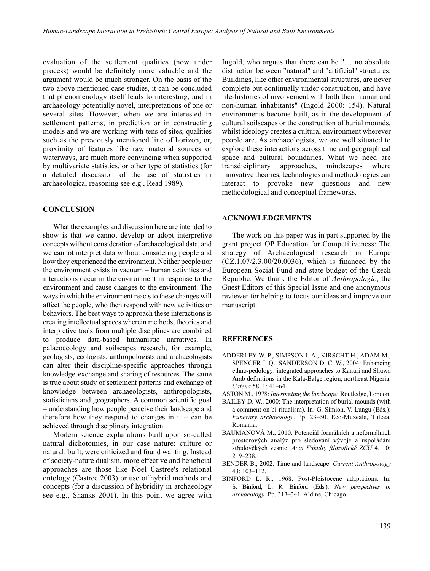evaluation of the settlement qualities (now under process) would be definitely more valuable and the argument would be much stronger. On the basis of the two above mentioned case studies, it can be concluded that phenomenology itself leads to interesting, and in archaeology potentially novel, interpretations of one or several sites. However, when we are interested in settlement patterns, in prediction or in constructing models and we are working with tens of sites, qualities such as the previously mentioned line of horizon, or, proximity of features like raw material sources or waterways, are much more convincing when supported by multivariate statistics, or other type of statistics (for a detailed discussion of the use of statistics in archaeological reasoning see e.g., Read 1989).

#### **CONCLUSION**

What the examples and discussion here are intended to show is that we cannot develop or adopt interpretive concepts without consideration of archaeological data, and we cannot interpret data without considering people and how they experienced the environment. Neither people nor the environment exists in vacuum – human activities and interactions occur in the environment in response to the environment and cause changes to the environment. The ways in which the environment reacts to these changes will affect the people, who then respond with new activities or behaviors. The best ways to approach these interactions is creating intellectual spaces wherein methods, theories and interpretive tools from multiple disciplines are combined to produce data-based humanistic narratives. In palaeoecology and soilscapes research, for example, geologists, ecologists, anthropologists and archaeologists can alter their discipline-specific approaches through knowledge exchange and sharing of resources. The same is true about study of settlement patterns and exchange of knowledge between archaeologists, anthropologists, statisticians and geographers. A common scientific goal – understanding how people perceive their landscape and therefore how they respond to changes in it – can be achieved through disciplinary integration.

Modern science explanations built upon so-called natural dichotomies, in our case nature: culture or natural: built, were criticized and found wanting. Instead of society-nature dualism, more effective and beneficial approaches are those like Noel Castree's relational ontology (Castree 2003) or use of hybrid methods and concepts (for a discussion of hybridity in archaeology see e.g., Shanks 2001). In this point we agree with Ingold, who argues that there can be "… no absolute distinction between "natural" and "artificial" structures. Buildings, like other environmental structures, are never complete but continually under construction, and have life-histories of involvement with both their human and non-human inhabitants" (Ingold 2000: 154). Natural environments become built, as in the development of cultural soilscapes or the construction of burial mounds, whilst ideology creates a cultural environment wherever people are. As archaeologists, we are well situated to explore these interactions across time and geographical space and cultural boundaries. What we need are transdiciplinary approaches, mindscapes where innovative theories, technologies and methodologies can interact to provoke new questions and new methodological and conceptual frameworks.

#### **ACKNOWLEDGEMENTS**

The work on this paper was in part supported by the grant project OP Education for Competitiveness: The strategy of Archaeological research in Europe (CZ.1.07/2.3.00/20.0036), which is financed by the European Social Fund and state budget of the Czech Republic. We thank the Editor of *Anthropologie*, the Guest Editors of this Special Issue and one anonymous reviewer for helping to focus our ideas and improve our manuscript.

#### **REFERENCES**

- ADDERLEY W. P., SIMPSON I. A., KIRSCHT H., ADAM M., SPENCER J. Q., SANDERSON D. C. W., 2004: Enhancing ethno-pedology: integrated approaches to Kanuri and Shuwa Arab definitions in the Kala-Balge region, northeast Nigeria. *Catena* 58, 1: 41–64.
- ASTON M., 1978: *Interpreting the landscape.* Routledge, London.
- BAILEY D. W., 2000: The interpretation of burial mounds (with a comment on bi-ritualism). In: G. Simion, V. Lungu (Eds.): *Funerary archaeology*. Pp. 23–50. Eco-Muzeale, Tulcea, Romania.
- BAUMANOVÁ M., 2010: Potenciál formálních a neformálních prostorových analýz pro sledování vývoje a uspořádání středověkých vesnic. *Acta Fakulty filozofické ZČU* 4, 10: 219–238.
- BENDER B., 2002: Time and landscape. *Current Anthropology* 43: 103–112.
- BINFORD L. R., 1968: Post-Pleistocene adaptations. In: S. Binford, L. R. Binford (Eds.): *New perspectives in archaeology*. Pp. 313–341. Aldine, Chicago.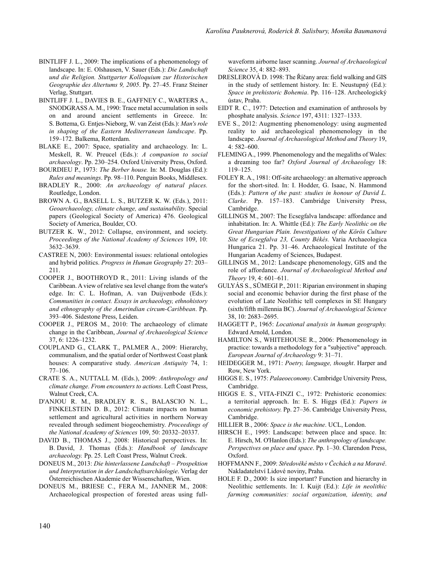- BINTLIFF J. L., 2009: The implications of a phenomenology of landscape. In: E. Olshausen, V. Sauer (Eds.): *Die Landschaft und die Religion. Stuttgarter Kolloquium zur Historischen Geographie des Altertums 9, 2005*. Pp. 27–45. Franz Steiner Verlag, Stuttgart.
- BINTLIFF J. L., DAVIES B. E., GAFFNEY C., WARTERS A., SNODGRASS A. M., 1990: Trace metal accumulation in soils on and around ancient settlements in Greece. In: S. Bottema, G. Entjes-Nieborg, W. van Zeist (Eds.): *Man's role in shaping of the Eastern Mediterranean landscape*. Pp. 159–172. Balkema, Rotterdam.
- BLAKE E., 2007: Space, spatiality and archaeology. In: L. Meskell, R. W. Preucel (Eds.): *A companion to social archaeology*. Pp. 230–254. Oxford University Press, Oxford.
- BOURDIEU P., 1973: *The Berber house.* In: M. Douglas (Ed.): *Rules and meanings*. Pp. 98–110. Penguin Books, Middlesex.
- BRADLEY R., 2000: *An archaeology of natural places.* Routledge, London.
- BROWN A. G., BASELL L. S., BUTZER K. W. (Eds.), 2011: *Geoarchaeology, climate change, and sustainability*. Special papers (Geological Society of America) 476. Geological Society of America, Boulder, CO.
- BUTZER K. W., 2012: Collapse, environment, and society. *Proceedings of the National Academy of Sciences* 109, 10: 3632–3639.
- CASTREE N, 2003: Environmental issues: relational ontologies and hybrid politics. *Progress in Human Geography* 27: 203– 211.
- COOPER J., BOOTHROYD R., 2011: Living islands of the Caribbean. A view of relative sea level change from the water's edge. In: C. L. Hofman, A. van Duijvenbode (Eds.): *Communities in contact. Essays in archaeology, ethnohistory and ethnography of the Amerindian circum-Caribbean*. Pp. 393–406. Sidestone Press, Leiden.
- COOPER J., PEROS M., 2010: The archaeology of climate change in the Caribbean, *Journal of Archaeological Science* 37, 6: 1226–1232.
- COUPLAND G., CLARK T., PALMER A., 2009: Hierarchy, communalism, and the spatial order of Northwest Coast plank houses: A comparative study. *American Antiquity* 74, 1: 77–106.
- CRATE S. A., NUTTALL M. (Eds.), 2009: *Anthropology and climate change. From encounters to actions*. Left Coast Press, Walnut Creek, CA.
- D'ANJOU R. M., BRADLEY R. S., BALASCIO N. L., FINKELSTEIN D. B., 2012: Climate impacts on human settlement and agricultural activities in northern Norway revealed through sediment biogeochemistry. *Proceedings of the National Academy of Sciences* 109, 50: 20332–20337.
- DAVID B., THOMAS J., 2008: Historical perspectives. In: B. David, J. Thomas (Eds.): *Handbook of landscape archaeology.* Pp. 25. Left Coast Press, Walnut Creek.
- DONEUS M., 2013: *Die hinterlassene Landschaft Prospektion und Interpretation in der Landschaftsarchäologie*. Verlag der Österreichischen Akademie der Wissenschaften, Wien.
- DONEUS M., BRIESE C., FERA M., JANNER M., 2008: Archaeological prospection of forested areas using full-

waveform airborne laser scanning. *Journal of Archaeological Science* 35, 4: 882–893.

- DRESLEROVÁ D. 1998: The Říčany area: field walking and GIS in the study of settlement history. In: E. Neustupný (Ed.): *Space in prehistoric Bohemia*. Pp. 116–128. Archeologický ústav, Praha.
- EIDT R. C., 1977: Detection and examination of anthrosols by phosphate analysis. *Science* 197, 4311: 1327–1333.
- EVE S., 2012: Augmenting phenomenology: using augmented reality to aid archaeological phenomenology in the landscape. *Journal of Archaeological Method and Theory* 19, 4: 582–600.
- FLEMING A., 1999. Phenomenology and the megaliths of Wales: a dreaming too far? *Oxford Journal of Archaeology* 18: 119–125.
- FOLEY R. A., 1981: Off-site archaeology: an alternative approach for the short-sited. In: I. Hodder, G. Isaac, N. Hammond (Eds.): *Pattern of the past: studies in honour of David L. Clarke*. Pp. 157–183. Cambridge University Press, Cambridge.
- GILLINGS M., 2007: The Ecsegfalva landscape: affordance and inhabitation. In: A. Whittle (Ed.): *The Early Neolithic on the Great Hungarian Plain. Investigations of the Körös Culture Site of Ecsegfalva 23, County Békés.* Varia Archaeologica Hungarica 21. Pp. 31–46. Archaeological Institute of the Hungarian Academy of Sciences, Budapest.
- GILLINGS M., 2012: Landscape phenomenology, GIS and the role of affordance. *Journal of Archaeological Method and Theory* 19, 4: 601–611.
- GULYÁS S., SÜMEGI P., 2011: Riparian environment in shaping social and economic behavior during the first phase of the evolution of Late Neolithic tell complexes in SE Hungary (sixth/fifth millennia BC). *Journal of Archaeological Science* 38, 10: 2683–2695.
- HAGGETT P., 1965: *Locational analysis in human geography.* Edward Arnold, London.
- HAMILTON S., WHITEHOUSE R., 2006: Phenomenology in practice: towards a methodology for a "subjective" approach. *European Journal of Archaeology* 9: 31–71.
- HEIDEGGER M., 1971: *Poetry, language, thought*. Harper and Row, New York.
- HIGGS E. S., 1975: *Palaeoeconomy*. Cambridge University Press, Cambridge.
- HIGGS E. S., VITA-FINZI C., 1972: Prehistoric economies: a territorial approach. In: E. S. Higgs (Ed.): *Papers in economic prehistory.* Pp. 27–36. Cambridge University Press, Cambridge.
- HILLIER B., 2006: *Space is the machine*. UCL, London.
- HIRSCH E., 1995: Landscape: between place and space. In: E. Hirsch, M. O'Hanlon (Eds.): *The anthropology of landscape. Perspectives on place and space*. Pp. 1–30. Clarendon Press, Oxford.
- HOFFMANN F., 2009: *Středověké město v Čechách a na Moravě*. Nakladatelství Lidové noviny, Praha.
- HOLE F. D., 2000: Is size important? Function and hierarchy in Neolithic settlements. In: I. Kuijt (Ed.): *Life in neolithic farming communities: social organization, identity, and*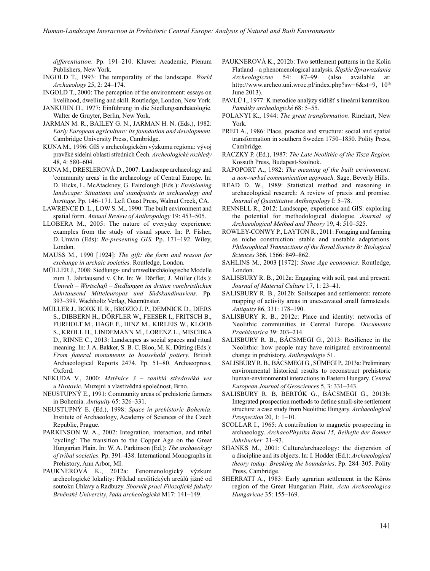*differentiation*. Pp. 191–210. Kluwer Academic, Plenum Publishers, New York.

- INGOLD T., 1993: The temporality of the landscape. *World Archaeology* 25, 2: 24–174.
- INGOLD T., 2000: The perception of the environment: essays on livelihood, dwelling and skill. Routledge, London, New York.
- JANKUHN H., 1977: Einführung in die Siedlungsarchäeologie. Walter de Gruyter, Berlin, New York.
- JARMAN M. R., BAILEY G. N., JARMAN H. N. (Eds.), 1982: *Early European agriculture: its foundation and development*. Cambridge University Press, Cambridge.
- KUNA M., 1996: GIS v archeologickém výzkumu regionu: vývoj pravěké sídelní oblasti středních Čech. *Archeologické rozhledy* 48, 4: 580–604.
- KUNA M., DRESLEROVÁ D., 2007: Landscape archaeology and 'community areas' in the archaeology of Central Europe. In: D. Hicks, L. McAtackney, G. Fairclough (Eds.): *Envisioning landscape: Situations and standpoints in archaeology and heritage*. Pp. 146–171. Left Coast Press, Walnut Creek, CA.
- LAWRENCE D. L., LOW S. M., 1990: The built environment and spatial form. *Annual Review of Anthropology* 19: 453–505.
- LLOBERA M., 2005: The nature of everyday experience: examples from the study of visual space*.* In: P. Fisher, D. Unwin (Eds): *Re-presenting GIS.* Pp. 171–192. Wiley, London.
- MAUSS M., 1990 [1924]: *The gift: the form and reason for exchange in archaic societies.* Routledge, London.
- MÜLLER J., 2008: Siedlungs- und umweltarchäologische Modelle zum 3. Jahrtausend v. Chr. In: W. Dörfler, J. Müller (Eds.): *Umwelt – Wirtschaft – Siedlungen im dritten vorchristlichen Jahrtausend Mitteleuropas und Südskandinaviens*. Pp. 393–399. Wachholtz Verlag, Neumünster.
- MÜLLER J., BORK H. R., BROZIO J. P., DEMNICK D., DIERS S., DIBBERN H., DÖRFLER W., FEESER I., FRITSCH B., FURHOLT M., HAGE F., HINZ M., KIRLEIS W., KLOOß S., KROLL H., LINDEMANN M., LORENZ L., MISCHKA D., RINNE C., 2013: Landscapes as social spaces and ritual meaning. In: J. A. Bakker, S. B. C. Bloo, M. K. Dütting (Eds.): *From funeral monuments to household pottery.* British Archaeological Reports 2474. Pp. 51–80. Archaeopress, Oxford.
- NEKUDA V., 2000: *Mstěnice 3 zaniklá středověká ves u Hrotovic*. Muzejní a vlastivědná společnost, Brno.
- NEUSTUPNÝ E., 1991: Community areas of prehistoric farmers in Bohemia. *Antiquity* 65: 326–331.
- NEUSTUPNÝ E. (Ed.), 1998: *Space in prehistoric Bohemia*. Institute of Archaeology, Academy of Sciences of the Czech Republic, Prague.
- PARKINSON W. A., 2002: Integration, interaction, and tribal 'cycling': The transition to the Copper Age on the Great Hungarian Plain. In: W. A. Parkinson (Ed.): *The archaeology of tribal societies*. Pp. 391–438. International Monographs in Prehistory, Ann Arbor, MI.
- PAUKNEROVÁ K., 2012a: Fenomenologický výzkum archeologické lokality: Příklad neolitických areálů jižně od soutoku Úhlavy a Radbuzy. *Sborník prací Filozofické fakulty Brněnské Univerzity*, *řada archeologická* M17: 141–149.
- PAUKNEROVÁ K., 2012b: Two settlement patterns in the Kolín Flatland – a phenomenological analysis. *Śląskie Sprawozdania Archeologiczne* 54: 87–99. (also available at: http://www.archeo.uni.wroc.pl/index.php?sw=6&st=9, 10th June 2013).
- PAVLŮ I., 1977: K metodice analýzy sídlišť s lineární keramikou. *Památky archeologické* 68: 5–55.
- POLANYI K., 1944: *The great transformation*. Rinehart, New York.
- PRED A., 1986: Place, practice and structure: social and spatial transformation in southern Sweden 1750–1850. Polity Press, Cambridge.
- RACZKY P. (Ed.), 1987: *The Late Neolithic of the Tisza Region.* Kossuth Press, Budapest-Szolnok.
- RAPOPORT A., 1982: *The meaning of the built environment: a non-verbal communication approach.* Sage, Beverly Hills.
- READ D. W., 1989: Statistical method and reasoning in archaeological research: A review of praxis and promise. *Journal of Quantitative Anthropology* I: 5–78.
- RENNELL R., 2012: Landscape, experience and GIS: exploring the potential for methodological dialogue. *Journal of Archaeological Method and Theory* 19, 4: 510–525.
- ROWLEY-CONWY P., LAYTON R., 2011: Foraging and farming as niche construction: stable and unstable adaptations. *Philosophical Transactions of the Royal Society B: Biological Sciences* 366, 1566: 849–862.
- SAHLINS M., 2003 [1972]: *Stone Age economics.* Routledge, London.
- SALISBURY R. B., 2012a: Engaging with soil, past and present. *Journal of Material Culture* 17, 1: 23–41.
- SALISBURY R. B., 2012b: Soilscapes and settlements: remote mapping of activity areas in unexcavated small farmsteads. *Antiquity* 86, 331: 178–190.
- SALISBURY R. B., 2012c: Place and identity: networks of Neolithic communities in Central Europe. *Documenta Praehistorica* 39: 203–214.
- SALISBURY R. B., BÁCSMEGI G., 2013: Resilience in the Neolithic: how people may have mitigated environmental change in prehistory. *Anthropologie* 51.
- SALISBURY R. B., BÁCSMEGI G., SÜMEGI P., 2013a: Preliminary environmental historical results to reconstruct prehistoric human-environmental interactions in Eastern Hungary. *Central European Journal of Geosciences* 5, 3: 331–343.
- SALISBURY R. B, BERTÓK G., BÁCSMEGI G., 2013b: Integrated prospection methods to define small-site settlement structure: a case study from Neolithic Hungary. *Archaeological Prospection* 20, 1: 1–10.
- SCOLLAR I., 1965: A contribution to magnetic prospecting in archaeology. *ArchaeoPhysika Band 15, Beihefte der Bonner Jahrbucher*: 21–93.
- SHANKS M., 2001: Culture/archaeology: the dispersion of a discipline and its objects. In: I. Hodder (Ed.): *Archaeological theory today: Breaking the boundaries*. Pp. 284–305. Polity Press, Cambridge.
- SHERRATT A., 1983: Early agrarian settlement in the Körös region of the Great Hungarian Plain. *Acta Archaeologica Hungaricae* 35: 155–169.